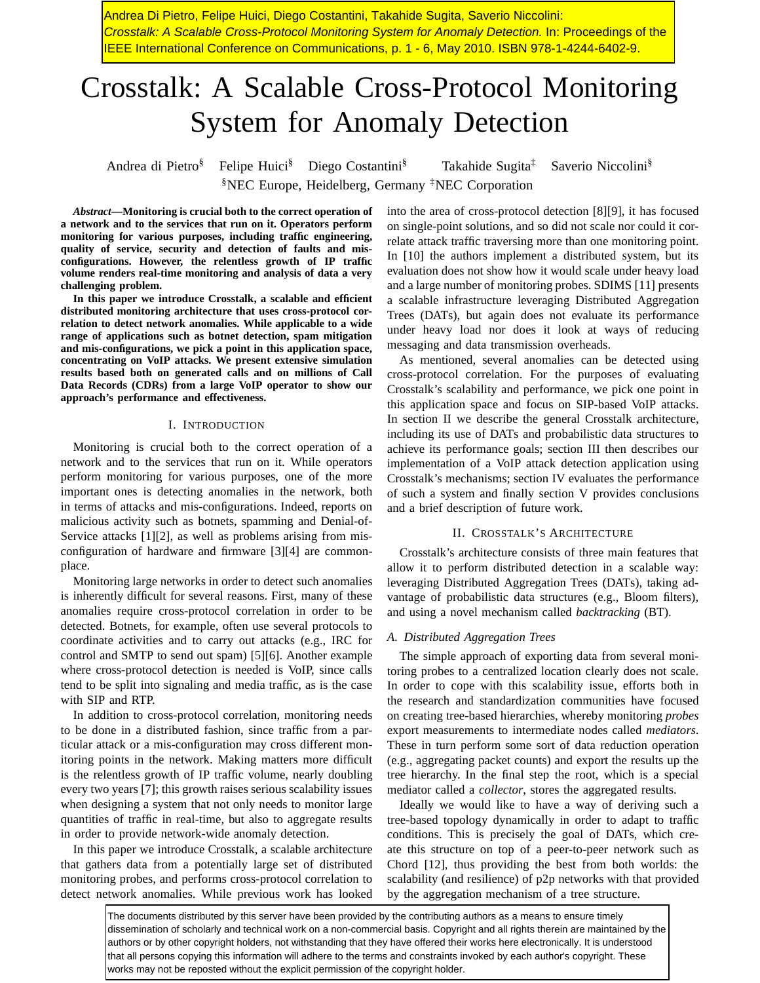Andrea Di Pietro, Felipe Huici, Diego Costantini, Takahide Sugita, Saverio Niccolini: *Crosstalk: A Scalable Cross-Protocol Monitoring System for Anomaly Detection.* In: Proceedings of the IEEE International Conference on Communications, p. 1 - 6, May 2010. ISBN 978-1-4244-6402-9.

# Crosstalk: A Scalable Cross-Protocol Monitoring System for Anomaly Detection

Andrea di Pietro§ Felipe Huici§ Diego Costantini§ Takahide Sugita‡ Saverio Niccolini§ §NEC Europe, Heidelberg, Germany ‡NEC Corporation

*Abstract***—Monitoring is crucial both to the correct operation of a network and to the services that run on it. Operators perform monitoring for various purposes, including traffic engineering, quality of service, security and detection of faults and misconfigurations. However, the relentless growth of IP traffic volume renders real-time monitoring and analysis of data a very challenging problem.**

**In this paper we introduce Crosstalk, a scalable and efficient distributed monitoring architecture that uses cross-protocol correlation to detect network anomalies. While applicable to a wide range of applications such as botnet detection, spam mitigation and mis-configurations, we pick a point in this application space, concentrating on VoIP attacks. We present extensive simulation results based both on generated calls and on millions of Call Data Records (CDRs) from a large VoIP operator to show our approach's performance and effectiveness.**

## I. INTRODUCTION

Monitoring is crucial both to the correct operation of a network and to the services that run on it. While operators perform monitoring for various purposes, one of the more important ones is detecting anomalies in the network, both in terms of attacks and mis-configurations. Indeed, reports on malicious activity such as botnets, spamming and Denial-of-Service attacks [1][2], as well as problems arising from misconfiguration of hardware and firmware [3][4] are commonplace.

Monitoring large networks in order to detect such anomalies is inherently difficult for several reasons. First, many of these anomalies require cross-protocol correlation in order to be detected. Botnets, for example, often use several protocols to coordinate activities and to carry out attacks (e.g., IRC for control and SMTP to send out spam) [5][6]. Another example where cross-protocol detection is needed is VoIP, since calls tend to be split into signaling and media traffic, as is the case with SIP and RTP.

In addition to cross-protocol correlation, monitoring needs to be done in a distributed fashion, since traffic from a particular attack or a mis-configuration may cross different monitoring points in the network. Making matters more difficult is the relentless growth of IP traffic volume, nearly doubling every two years [7]; this growth raises serious scalability issues when designing a system that not only needs to monitor large quantities of traffic in real-time, but also to aggregate results in order to provide network-wide anomaly detection.

In this paper we introduce Crosstalk, a scalable architecture that gathers data from a potentially large set of distributed monitoring probes, and performs cross-protocol correlation to detect network anomalies. While previous work has looked

into the area of cross-protocol detection [8][9], it has focused on single-point solutions, and so did not scale nor could it correlate attack traffic traversing more than one monitoring point. In [10] the authors implement a distributed system, but its evaluation does not show how it would scale under heavy load and a large number of monitoring probes. SDIMS [11] presents a scalable infrastructure leveraging Distributed Aggregation Trees (DATs), but again does not evaluate its performance under heavy load nor does it look at ways of reducing messaging and data transmission overheads.

As mentioned, several anomalies can be detected using cross-protocol correlation. For the purposes of evaluating Crosstalk's scalability and performance, we pick one point in this application space and focus on SIP-based VoIP attacks. In section II we describe the general Crosstalk architecture, including its use of DATs and probabilistic data structures to achieve its performance goals; section III then describes our implementation of a VoIP attack detection application using Crosstalk's mechanisms; section IV evaluates the performance of such a system and finally section V provides conclusions and a brief description of future work.

## II. CROSSTALK'S ARCHITECTURE

Crosstalk's architecture consists of three main features that allow it to perform distributed detection in a scalable way: leveraging Distributed Aggregation Trees (DATs), taking advantage of probabilistic data structures (e.g., Bloom filters), and using a novel mechanism called *backtracking* (BT).

## *A. Distributed Aggregation Trees*

The simple approach of exporting data from several monitoring probes to a centralized location clearly does not scale. In order to cope with this scalability issue, efforts both in the research and standardization communities have focused on creating tree-based hierarchies, whereby monitoring *probes* export measurements to intermediate nodes called *mediators*. These in turn perform some sort of data reduction operation (e.g., aggregating packet counts) and export the results up the tree hierarchy. In the final step the root, which is a special mediator called a *collector*, stores the aggregated results.

Ideally we would like to have a way of deriving such a tree-based topology dynamically in order to adapt to traffic conditions. This is precisely the goal of DATs, which create this structure on top of a peer-to-peer network such as Chord [12], thus providing the best from both worlds: the scalability (and resilience) of p2p networks with that provided by the aggregation mechanism of a tree structure.

The documents distributed by this server have been provided by the contributing authors as a means to ensure timely dissemination of scholarly and technical work on a non-commercial basis. Copyright and all rights therein are maintained by the authors or by other copyright holders, not withstanding that they have offered their works here electronically. It is understood that all persons copying this information will adhere to the terms and constraints invoked by each author's copyright. These works may not be reposted without the explicit permission of the copyright holder.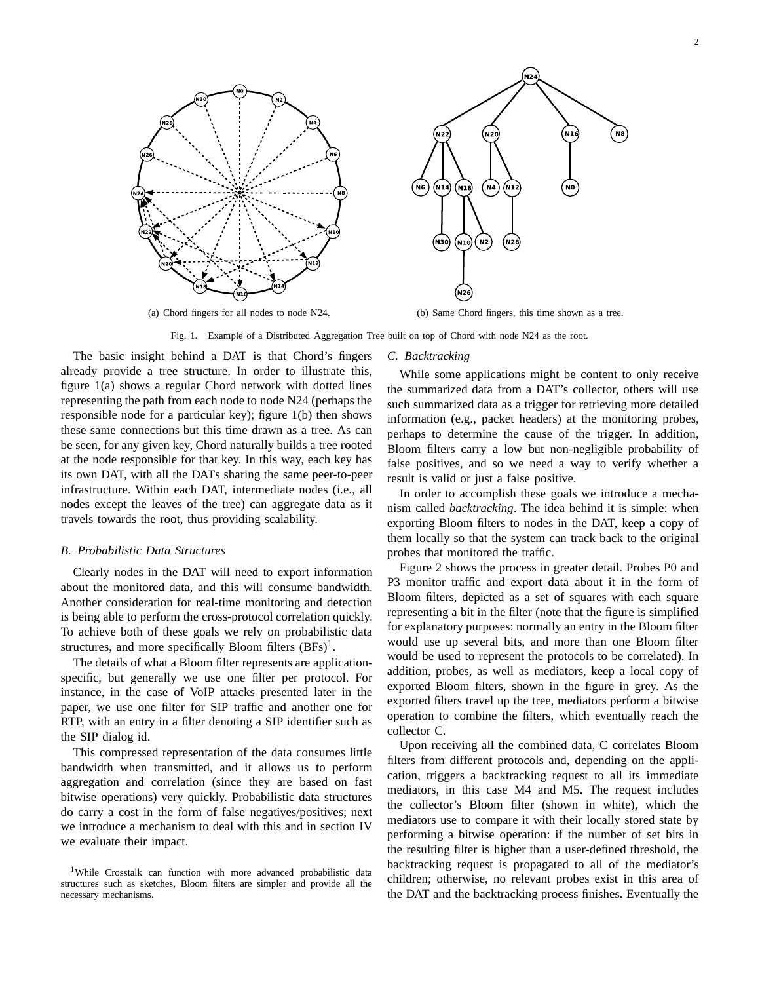

(a) Chord fingers for all nodes to node N24. (b) Same Chord fingers, this time shown as a tree.

Fig. 1. Example of a Distributed Aggregation Tree built on top of Chord with node N24 as the root.

The basic insight behind a DAT is that Chord's fingers already provide a tree structure. In order to illustrate this, figure 1(a) shows a regular Chord network with dotted lines representing the path from each node to node N24 (perhaps the responsible node for a particular key); figure 1(b) then shows these same connections but this time drawn as a tree. As can be seen, for any given key, Chord naturally builds a tree rooted at the node responsible for that key. In this way, each key has its own DAT, with all the DATs sharing the same peer-to-peer infrastructure. Within each DAT, intermediate nodes (i.e., all nodes except the leaves of the tree) can aggregate data as it travels towards the root, thus providing scalability.

## *B. Probabilistic Data Structures*

Clearly nodes in the DAT will need to export information about the monitored data, and this will consume bandwidth. Another consideration for real-time monitoring and detection is being able to perform the cross-protocol correlation quickly. To achieve both of these goals we rely on probabilistic data structures, and more specifically Bloom filters  $(BFs)^1$ .

The details of what a Bloom filter represents are applicationspecific, but generally we use one filter per protocol. For instance, in the case of VoIP attacks presented later in the paper, we use one filter for SIP traffic and another one for RTP, with an entry in a filter denoting a SIP identifier such as the SIP dialog id.

This compressed representation of the data consumes little bandwidth when transmitted, and it allows us to perform aggregation and correlation (since they are based on fast bitwise operations) very quickly. Probabilistic data structures do carry a cost in the form of false negatives/positives; next we introduce a mechanism to deal with this and in section IV we evaluate their impact.

#### *C. Backtracking*

While some applications might be content to only receive the summarized data from a DAT's collector, others will use such summarized data as a trigger for retrieving more detailed information (e.g., packet headers) at the monitoring probes, perhaps to determine the cause of the trigger. In addition, Bloom filters carry a low but non-negligible probability of false positives, and so we need a way to verify whether a result is valid or just a false positive.

In order to accomplish these goals we introduce a mechanism called *backtracking*. The idea behind it is simple: when exporting Bloom filters to nodes in the DAT, keep a copy of them locally so that the system can track back to the original probes that monitored the traffic.

Figure 2 shows the process in greater detail. Probes P0 and P3 monitor traffic and export data about it in the form of Bloom filters, depicted as a set of squares with each square representing a bit in the filter (note that the figure is simplified for explanatory purposes: normally an entry in the Bloom filter would use up several bits, and more than one Bloom filter would be used to represent the protocols to be correlated). In addition, probes, as well as mediators, keep a local copy of exported Bloom filters, shown in the figure in grey. As the exported filters travel up the tree, mediators perform a bitwise operation to combine the filters, which eventually reach the collector C.

Upon receiving all the combined data, C correlates Bloom filters from different protocols and, depending on the application, triggers a backtracking request to all its immediate mediators, in this case M4 and M5. The request includes the collector's Bloom filter (shown in white), which the mediators use to compare it with their locally stored state by performing a bitwise operation: if the number of set bits in the resulting filter is higher than a user-defined threshold, the backtracking request is propagated to all of the mediator's children; otherwise, no relevant probes exist in this area of the DAT and the backtracking process finishes. Eventually the

<sup>&</sup>lt;sup>1</sup>While Crosstalk can function with more advanced probabilistic data structures such as sketches, Bloom filters are simpler and provide all the necessary mechanisms.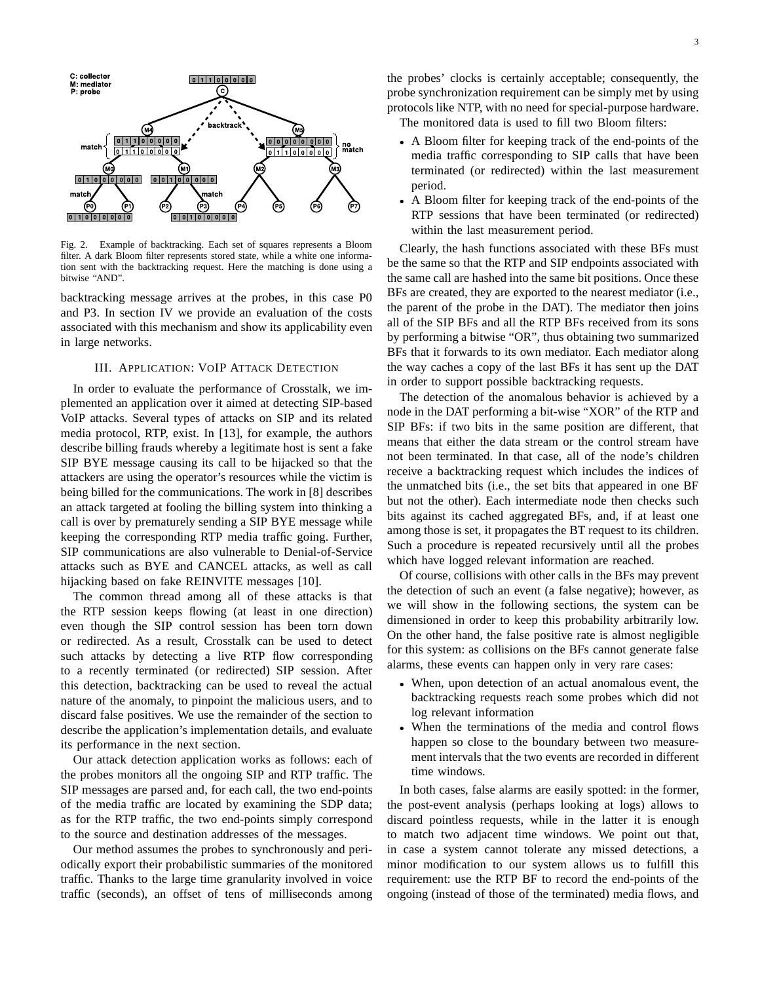

Fig. 2. Example of backtracking. Each set of squares represents a Bloom filter. A dark Bloom filter represents stored state, while a white one information sent with the backtracking request. Here the matching is done using a bitwise "AND".

backtracking message arrives at the probes, in this case P0 and P3. In section IV we provide an evaluation of the costs associated with this mechanism and show its applicability even in large networks.

## III. APPLICATION: VOIP ATTACK DETECTION

In order to evaluate the performance of Crosstalk, we implemented an application over it aimed at detecting SIP-based VoIP attacks. Several types of attacks on SIP and its related media protocol, RTP, exist. In [13], for example, the authors describe billing frauds whereby a legitimate host is sent a fake SIP BYE message causing its call to be hijacked so that the attackers are using the operator's resources while the victim is being billed for the communications. The work in [8] describes an attack targeted at fooling the billing system into thinking a call is over by prematurely sending a SIP BYE message while keeping the corresponding RTP media traffic going. Further, SIP communications are also vulnerable to Denial-of-Service attacks such as BYE and CANCEL attacks, as well as call hijacking based on fake REINVITE messages [10].

The common thread among all of these attacks is that the RTP session keeps flowing (at least in one direction) even though the SIP control session has been torn down or redirected. As a result, Crosstalk can be used to detect such attacks by detecting a live RTP flow corresponding to a recently terminated (or redirected) SIP session. After this detection, backtracking can be used to reveal the actual nature of the anomaly, to pinpoint the malicious users, and to discard false positives. We use the remainder of the section to describe the application's implementation details, and evaluate its performance in the next section.

Our attack detection application works as follows: each of the probes monitors all the ongoing SIP and RTP traffic. The SIP messages are parsed and, for each call, the two end-points of the media traffic are located by examining the SDP data; as for the RTP traffic, the two end-points simply correspond to the source and destination addresses of the messages.

Our method assumes the probes to synchronously and periodically export their probabilistic summaries of the monitored traffic. Thanks to the large time granularity involved in voice traffic (seconds), an offset of tens of milliseconds among

the probes' clocks is certainly acceptable; consequently, the probe synchronization requirement can be simply met by using protocols like NTP, with no need for special-purpose hardware.

The monitored data is used to fill two Bloom filters:

- A Bloom filter for keeping track of the end-points of the media traffic corresponding to SIP calls that have been terminated (or redirected) within the last measurement period.
- A Bloom filter for keeping track of the end-points of the RTP sessions that have been terminated (or redirected) within the last measurement period.

Clearly, the hash functions associated with these BFs must be the same so that the RTP and SIP endpoints associated with the same call are hashed into the same bit positions. Once these BFs are created, they are exported to the nearest mediator (i.e., the parent of the probe in the DAT). The mediator then joins all of the SIP BFs and all the RTP BFs received from its sons by performing a bitwise "OR", thus obtaining two summarized BFs that it forwards to its own mediator. Each mediator along the way caches a copy of the last BFs it has sent up the DAT in order to support possible backtracking requests.

The detection of the anomalous behavior is achieved by a node in the DAT performing a bit-wise "XOR" of the RTP and SIP BFs: if two bits in the same position are different, that means that either the data stream or the control stream have not been terminated. In that case, all of the node's children receive a backtracking request which includes the indices of the unmatched bits (i.e., the set bits that appeared in one BF but not the other). Each intermediate node then checks such bits against its cached aggregated BFs, and, if at least one among those is set, it propagates the BT request to its children. Such a procedure is repeated recursively until all the probes which have logged relevant information are reached.

Of course, collisions with other calls in the BFs may prevent the detection of such an event (a false negative); however, as we will show in the following sections, the system can be dimensioned in order to keep this probability arbitrarily low. On the other hand, the false positive rate is almost negligible for this system: as collisions on the BFs cannot generate false alarms, these events can happen only in very rare cases:

- When, upon detection of an actual anomalous event, the backtracking requests reach some probes which did not log relevant information
- When the terminations of the media and control flows happen so close to the boundary between two measurement intervals that the two events are recorded in different time windows.

In both cases, false alarms are easily spotted: in the former, the post-event analysis (perhaps looking at logs) allows to discard pointless requests, while in the latter it is enough to match two adjacent time windows. We point out that, in case a system cannot tolerate any missed detections, a minor modification to our system allows us to fulfill this requirement: use the RTP BF to record the end-points of the ongoing (instead of those of the terminated) media flows, and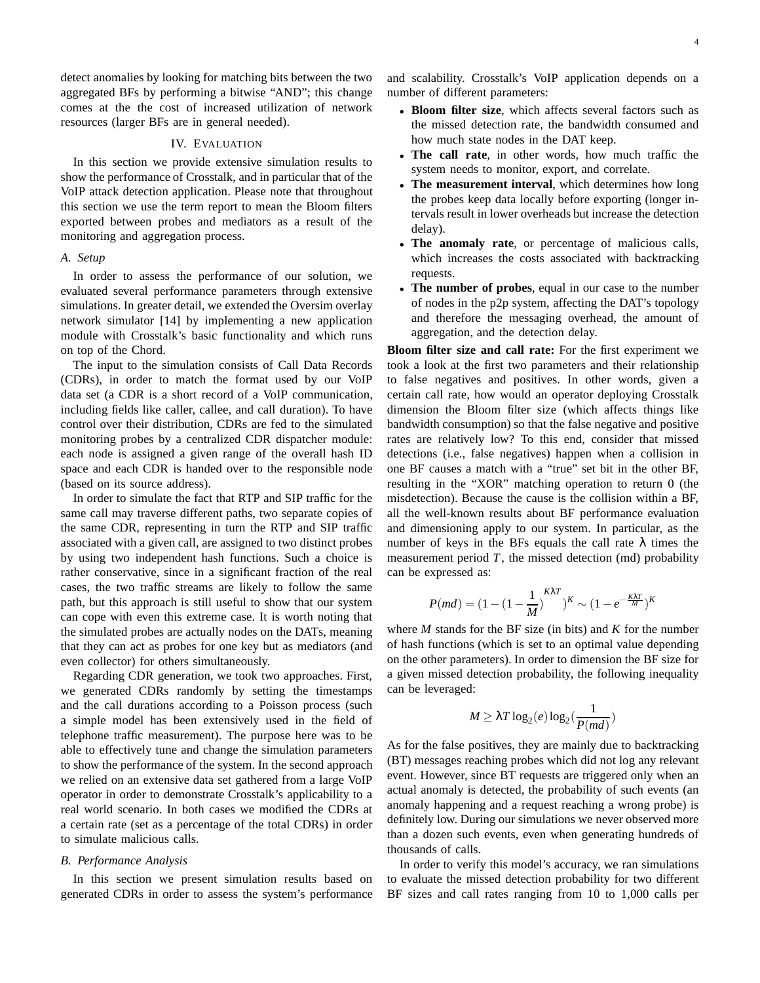detect anomalies by looking for matching bits between the two aggregated BFs by performing a bitwise "AND"; this change comes at the the cost of increased utilization of network resources (larger BFs are in general needed).

# IV. EVALUATION

In this section we provide extensive simulation results to show the performance of Crosstalk, and in particular that of the VoIP attack detection application. Please note that throughout this section we use the term report to mean the Bloom filters exported between probes and mediators as a result of the monitoring and aggregation process.

#### *A. Setup*

In order to assess the performance of our solution, we evaluated several performance parameters through extensive simulations. In greater detail, we extended the Oversim overlay network simulator [14] by implementing a new application module with Crosstalk's basic functionality and which runs on top of the Chord.

The input to the simulation consists of Call Data Records (CDRs), in order to match the format used by our VoIP data set (a CDR is a short record of a VoIP communication, including fields like caller, callee, and call duration). To have control over their distribution, CDRs are fed to the simulated monitoring probes by a centralized CDR dispatcher module: each node is assigned a given range of the overall hash ID space and each CDR is handed over to the responsible node (based on its source address).

In order to simulate the fact that RTP and SIP traffic for the same call may traverse different paths, two separate copies of the same CDR, representing in turn the RTP and SIP traffic associated with a given call, are assigned to two distinct probes by using two independent hash functions. Such a choice is rather conservative, since in a significant fraction of the real cases, the two traffic streams are likely to follow the same path, but this approach is still useful to show that our system can cope with even this extreme case. It is worth noting that the simulated probes are actually nodes on the DATs, meaning that they can act as probes for one key but as mediators (and even collector) for others simultaneously.

Regarding CDR generation, we took two approaches. First, we generated CDRs randomly by setting the timestamps and the call durations according to a Poisson process (such a simple model has been extensively used in the field of telephone traffic measurement). The purpose here was to be able to effectively tune and change the simulation parameters to show the performance of the system. In the second approach we relied on an extensive data set gathered from a large VoIP operator in order to demonstrate Crosstalk's applicability to a real world scenario. In both cases we modified the CDRs at a certain rate (set as a percentage of the total CDRs) in order to simulate malicious calls.

### *B. Performance Analysis*

In this section we present simulation results based on generated CDRs in order to assess the system's performance and scalability. Crosstalk's VoIP application depends on a number of different parameters:

- **Bloom filter size**, which affects several factors such as the missed detection rate, the bandwidth consumed and how much state nodes in the DAT keep.
- The call rate, in other words, how much traffic the system needs to monitor, export, and correlate.
- The measurement interval, which determines how long the probes keep data locally before exporting (longer intervals result in lower overheads but increase the detection delay).
- **The anomaly rate**, or percentage of malicious calls, which increases the costs associated with backtracking requests.
- **The number of probes**, equal in our case to the number of nodes in the p2p system, affecting the DAT's topology and therefore the messaging overhead, the amount of aggregation, and the detection delay.

**Bloom filter size and call rate:** For the first experiment we took a look at the first two parameters and their relationship to false negatives and positives. In other words, given a certain call rate, how would an operator deploying Crosstalk dimension the Bloom filter size (which affects things like bandwidth consumption) so that the false negative and positive rates are relatively low? To this end, consider that missed detections (i.e., false negatives) happen when a collision in one BF causes a match with a "true" set bit in the other BF, resulting in the "XOR" matching operation to return 0 (the misdetection). Because the cause is the collision within a BF, all the well-known results about BF performance evaluation and dimensioning apply to our system. In particular, as the number of keys in the BFs equals the call rate  $\lambda$  times the measurement period  $T$ , the missed detection (md) probability can be expressed as:

$$
P(md) = (1 - (1 - \frac{1}{M})^{K\lambda T})^{K} \sim (1 - e^{-\frac{K\lambda T}{M}})^{K}
$$

where *M* stands for the BF size (in bits) and *K* for the number of hash functions (which is set to an optimal value depending on the other parameters). In order to dimension the BF size for a given missed detection probability, the following inequality can be leveraged:

$$
M \geq \lambda T \log_2(e) \log_2(\frac{1}{P(md)})
$$

As for the false positives, they are mainly due to backtracking (BT) messages reaching probes which did not log any relevant event. However, since BT requests are triggered only when an actual anomaly is detected, the probability of such events (an anomaly happening and a request reaching a wrong probe) is definitely low. During our simulations we never observed more than a dozen such events, even when generating hundreds of thousands of calls.

In order to verify this model's accuracy, we ran simulations to evaluate the missed detection probability for two different BF sizes and call rates ranging from 10 to 1,000 calls per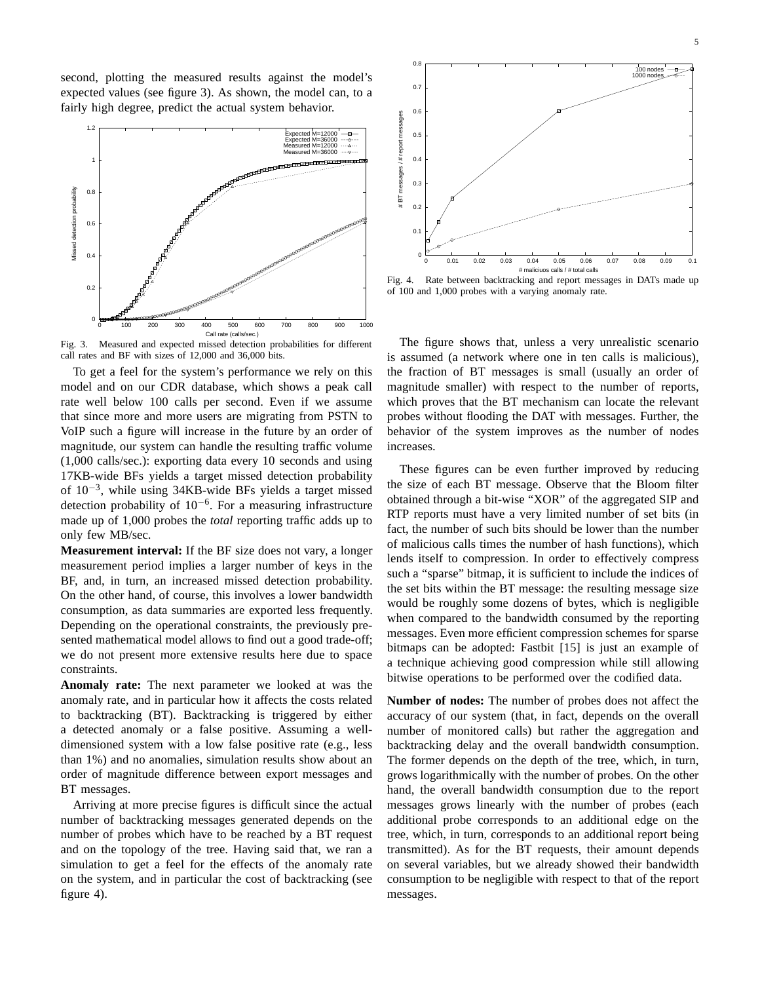second, plotting the measured results against the model's expected values (see figure 3). As shown, the model can, to a fairly high degree, predict the actual system behavior.



 0.6 messages / # report messages # BT messages / # report messages 0.5  $0.4$  0.3  $#BT$  0.2  $\Omega$ . 0 0 0.01 0.02 0.03 0.04 0.05 0.06 0.07 0.08 0.09 0.1 # maliciuos calls / # total calls

 0.7 0.8

Fig. 4. Rate between backtracking and report messages in DATs made up of 100 and 1,000 probes with a varying anomaly rate.

Fig. 3. Measured and expected missed detection probabilities for different call rates and BF with sizes of 12,000 and 36,000 bits.

To get a feel for the system's performance we rely on this model and on our CDR database, which shows a peak call rate well below 100 calls per second. Even if we assume that since more and more users are migrating from PSTN to VoIP such a figure will increase in the future by an order of magnitude, our system can handle the resulting traffic volume (1,000 calls/sec.): exporting data every 10 seconds and using 17KB-wide BFs yields a target missed detection probability of 10−<sup>3</sup> , while using 34KB-wide BFs yields a target missed detection probability of  $10^{-6}$ . For a measuring infrastructure made up of 1,000 probes the *total* reporting traffic adds up to only few MB/sec.

**Measurement interval:** If the BF size does not vary, a longer measurement period implies a larger number of keys in the BF, and, in turn, an increased missed detection probability. On the other hand, of course, this involves a lower bandwidth consumption, as data summaries are exported less frequently. Depending on the operational constraints, the previously presented mathematical model allows to find out a good trade-off; we do not present more extensive results here due to space constraints.

**Anomaly rate:** The next parameter we looked at was the anomaly rate, and in particular how it affects the costs related to backtracking (BT). Backtracking is triggered by either a detected anomaly or a false positive. Assuming a welldimensioned system with a low false positive rate (e.g., less than 1%) and no anomalies, simulation results show about an order of magnitude difference between export messages and BT messages.

Arriving at more precise figures is difficult since the actual number of backtracking messages generated depends on the number of probes which have to be reached by a BT request and on the topology of the tree. Having said that, we ran a simulation to get a feel for the effects of the anomaly rate on the system, and in particular the cost of backtracking (see figure 4).

The figure shows that, unless a very unrealistic scenario is assumed (a network where one in ten calls is malicious), the fraction of BT messages is small (usually an order of magnitude smaller) with respect to the number of reports, which proves that the BT mechanism can locate the relevant probes without flooding the DAT with messages. Further, the behavior of the system improves as the number of nodes increases.

These figures can be even further improved by reducing the size of each BT message. Observe that the Bloom filter obtained through a bit-wise "XOR" of the aggregated SIP and RTP reports must have a very limited number of set bits (in fact, the number of such bits should be lower than the number of malicious calls times the number of hash functions), which lends itself to compression. In order to effectively compress such a "sparse" bitmap, it is sufficient to include the indices of the set bits within the BT message: the resulting message size would be roughly some dozens of bytes, which is negligible when compared to the bandwidth consumed by the reporting messages. Even more efficient compression schemes for sparse bitmaps can be adopted: Fastbit [15] is just an example of a technique achieving good compression while still allowing bitwise operations to be performed over the codified data.

**Number of nodes:** The number of probes does not affect the accuracy of our system (that, in fact, depends on the overall number of monitored calls) but rather the aggregation and backtracking delay and the overall bandwidth consumption. The former depends on the depth of the tree, which, in turn, grows logarithmically with the number of probes. On the other hand, the overall bandwidth consumption due to the report messages grows linearly with the number of probes (each additional probe corresponds to an additional edge on the tree, which, in turn, corresponds to an additional report being transmitted). As for the BT requests, their amount depends on several variables, but we already showed their bandwidth consumption to be negligible with respect to that of the report messages.

100 nodes 1000 nodes